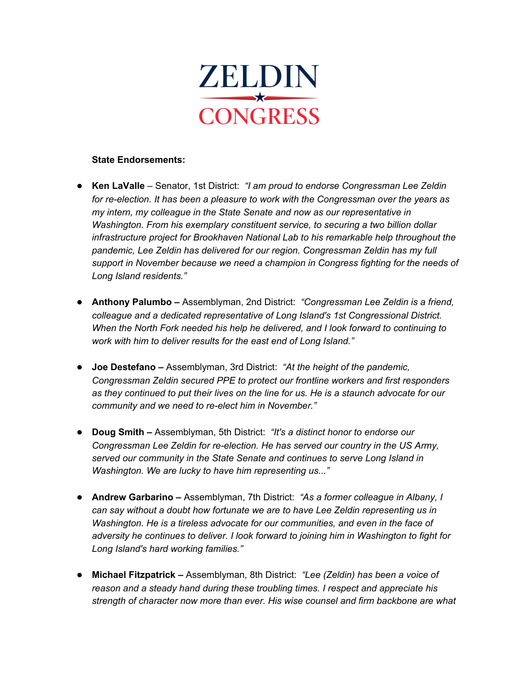

#### **State Endorsements:**

- **Ken LaValle** Senator, 1st District: *"I am proud to endorse Congressman Lee Zeldin for re-election. It has been a pleasure to work with the Congressman over the years as my intern, my colleague in the State Senate and now as our representative in Washington. From his exemplary constituent service, to securing a two billion dollar infrastructure project for Brookhaven National Lab to his remarkable help throughout the pandemic, Lee Zeldin has delivered for our region. Congressman Zeldin has my full support in November because we need a champion in Congress fighting for the needs of Long Island residents."*
- **Anthony Palumbo –** Assemblyman, 2nd District: *"Congressman Lee Zeldin is a friend, colleague and a dedicated representative of Long Island's 1st Congressional District. When the North Fork needed his help he delivered, and I look forward to continuing to work with him to deliver results for the east end of Long Island."*
- **Joe Destefano –** Assemblyman, 3rd District: *"At the height of the pandemic, Congressman Zeldin secured PPE to protect our frontline workers and first responders as they continued to put their lives on the line for us. He is a staunch advocate for our community and we need to re-elect him in November."*
- **Doug Smith –** Assemblyman, 5th District: *"It's a distinct honor to endorse our Congressman Lee Zeldin for re-election. He has served our country in the US Army, served our community in the State Senate and continues to serve Long Island in Washington. We are lucky to have him representing us..."*
- **Andrew Garbarino –** Assemblyman, 7th District: *"As a former colleague in Albany, I can say without a doubt how fortunate we are to have Lee Zeldin representing us in Washington. He is a tireless advocate for our communities, and even in the face of adversity he continues to deliver. I look forward to joining him in Washington to fight for Long Island's hard working families."*
- **Michael Fitzpatrick –** Assemblyman, 8th District: *"Lee (Zeldin) has been a voice of reason and a steady hand during these troubling times. I respect and appreciate his strength of character now more than ever. His wise counsel and firm backbone are what*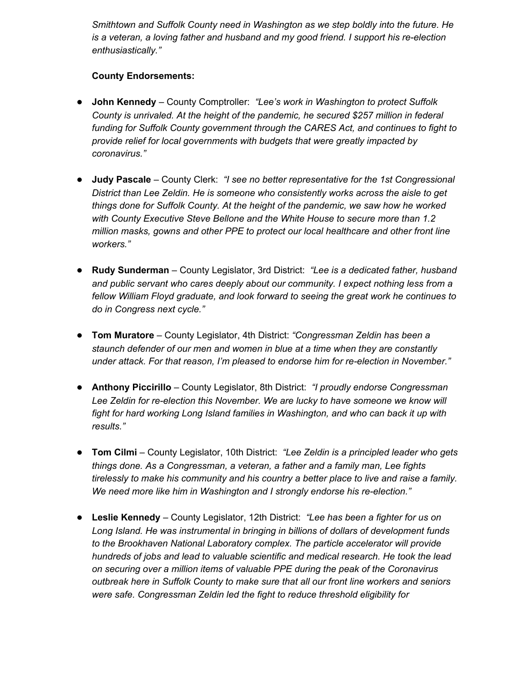*Smithtown and Suffolk County need in Washington as we step boldly into the future. He is a veteran, a loving father and husband and my good friend. I support his re-election enthusiastically."*

# **County Endorsements:**

- **John Kennedy** County Comptroller: *"Lee's work in Washington to protect Suffolk County is unrivaled. At the height of the pandemic, he secured \$257 million in federal funding for Suffolk County government through the CARES Act, and continues to fight to provide relief for local governments with budgets that were greatly impacted by coronavirus."*
- **Judy Pascale** County Clerk: *"I see no better representative for the 1st Congressional District than Lee Zeldin. He is someone who consistently works across the aisle to get things done for Suffolk County. At the height of the pandemic, we saw how he worked with County Executive Steve Bellone and the White House to secure more than 1.2 million masks, gowns and other PPE to protect our local healthcare and other front line workers."*
- **Rudy Sunderman** County Legislator, 3rd District: *"Lee is a dedicated father, husband and public servant who cares deeply about our community. I expect nothing less from a fellow William Floyd graduate, and look forward to seeing the great work he continues to do in Congress next cycle."*
- **Tom Muratore** County Legislator, 4th District: *"Congressman Zeldin has been a staunch defender of our men and women in blue at a time when they are constantly under attack. For that reason, I'm pleased to endorse him for re-election in November."*
- **Anthony Piccirillo** County Legislator, 8th District: *"I proudly endorse Congressman Lee Zeldin for re-election this November. We are lucky to have someone we know will fight for hard working Long Island families in Washington, and who can back it up with results."*
- **Tom Cilmi** County Legislator, 10th District: *"Lee Zeldin is a principled leader who gets things done. As a Congressman, a veteran, a father and a family man, Lee fights tirelessly to make his community and his country a better place to live and raise a family. We need more like him in Washington and I strongly endorse his re-election."*
- **Leslie Kennedy** County Legislator, 12th District: *"Lee has been a fighter for us on Long Island. He was instrumental in bringing in billions of dollars of development funds to the Brookhaven National Laboratory complex. The particle accelerator will provide hundreds of jobs and lead to valuable scientific and medical research. He took the lead on securing over a million items of valuable PPE during the peak of the Coronavirus outbreak here in Suffolk County to make sure that all our front line workers and seniors were safe. Congressman Zeldin led the fight to reduce threshold eligibility for*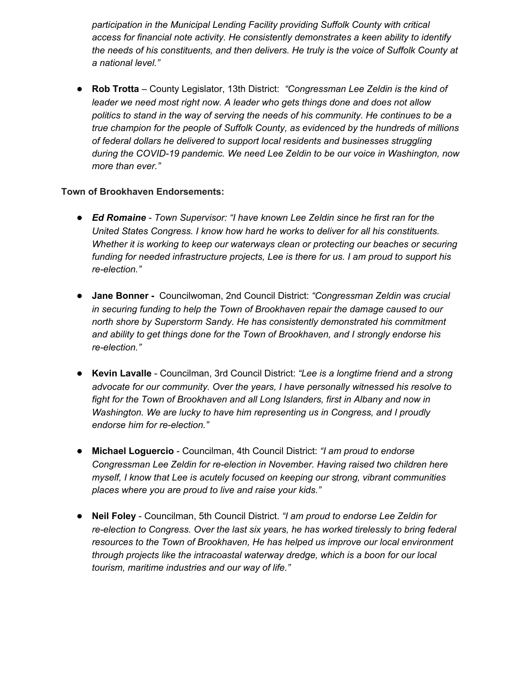*participation in the Municipal Lending Facility providing Suffolk County with critical access for financial note activity. He consistently demonstrates a keen ability to identify the needs of his constituents, and then delivers. He truly is the voice of Suffolk County at a national level."*

● **Rob Trotta** – County Legislator, 13th District: *"Congressman Lee Zeldin is the kind of leader we need most right now. A leader who gets things done and does not allow politics to stand in the way of serving the needs of his community. He continues to be a true champion for the people of Suffolk County, as evidenced by the hundreds of millions of federal dollars he delivered to support local residents and businesses struggling during the COVID-19 pandemic. We need Lee Zeldin to be our voice in Washington, now more than ever."*

# **Town of Brookhaven Endorsements:**

- *Ed Romaine - Town Supervisor: "I have known Lee Zeldin since he first ran for the United States Congress. I know how hard he works to deliver for all his constituents. Whether it is working to keep our waterways clean or protecting our beaches or securing funding for needed infrastructure projects, Lee is there for us. I am proud to support his re-election."*
- **Jane Bonner -** Councilwoman, 2nd Council District: *"Congressman Zeldin was crucial in securing funding to help the Town of Brookhaven repair the damage caused to our north shore by Superstorm Sandy. He has consistently demonstrated his commitment and ability to get things done for the Town of Brookhaven, and I strongly endorse his re-election."*
- **Kevin Lavalle** Councilman, 3rd Council District: *"Lee is a longtime friend and a strong advocate for our community. Over the years, I have personally witnessed his resolve to fight for the Town of Brookhaven and all Long Islanders, first in Albany and now in Washington. We are lucky to have him representing us in Congress, and I proudly endorse him for re-election."*
- **Michael Loguercio** Councilman, 4th Council District: *"I am proud to endorse Congressman Lee Zeldin for re-election in November. Having raised two children here myself, I know that Lee is acutely focused on keeping our strong, vibrant communities places where you are proud to live and raise your kids."*
- **Neil Foley** Councilman, 5th Council District. *"I am proud to endorse Lee Zeldin for re-election to Congress. Over the last six years, he has worked tirelessly to bring federal resources to the Town of Brookhaven, He has helped us improve our local environment through projects like the intracoastal waterway dredge, which is a boon for our local tourism, maritime industries and our way of life."*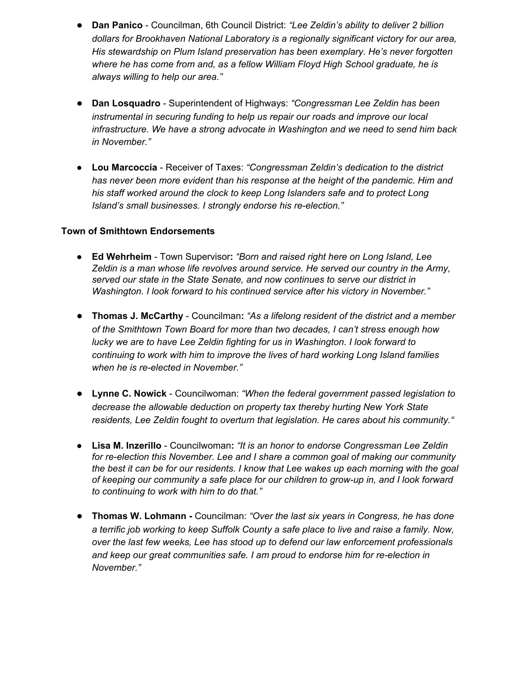- **Dan Panico** Councilman, 6th Council District: *"Lee Zeldin's ability to deliver 2 billion dollars for Brookhaven National Laboratory is a regionally significant victory for our area, His stewardship on Plum Island preservation has been exemplary. He's never forgotten where he has come from and, as a fellow William Floyd High School graduate, he is always willing to help our area."*
- **Dan Losquadro** Superintendent of Highways: *"Congressman Lee Zeldin has been instrumental in securing funding to help us repair our roads and improve our local infrastructure. We have a strong advocate in Washington and we need to send him back in November."*
- *●* **Lou Marcoccia** Receiver of Taxes: *"Congressman Zeldin's dedication to the district has never been more evident than his response at the height of the pandemic. Him and his staff worked around the clock to keep Long Islanders safe and to protect Long Island's small businesses. I strongly endorse his re-election."*

### **Town of Smithtown Endorsements**

- **Ed Wehrheim** Town Supervisor**:** *"Born and raised right here on Long Island, Lee Zeldin is a man whose life revolves around service. He served our country in the Army, served our state in the State Senate, and now continues to serve our district in Washington. I look forward to his continued service after his victory in November."*
- **Thomas J. McCarthy** Councilman**:** *"As a lifelong resident of the district and a member of the Smithtown Town Board for more than two decades, I can't stress enough how lucky we are to have Lee Zeldin fighting for us in Washington. I look forward to continuing to work with him to improve the lives of hard working Long Island families when he is re-elected in November."*
- **Lynne C. Nowick** Councilwoman: *"When the federal government passed legislation to decrease the allowable deduction on property tax thereby hurting New York State residents, Lee Zeldin fought to overturn that legislation. He cares about his community."*
- *●* **Lisa M. Inzerillo** Councilwoman**:** *"It is an honor to endorse Congressman Lee Zeldin for re-election this November. Lee and I share a common goal of making our community the best it can be for our residents. I know that Lee wakes up each morning with the goal of keeping our community a safe place for our children to grow-up in, and I look forward to continuing to work with him to do that."*
- **Thomas W. Lohmann -** Councilman: *"Over the last six years in Congress, he has done a terrific job working to keep Suffolk County a safe place to live and raise a family. Now, over the last few weeks, Lee has stood up to defend our law enforcement professionals and keep our great communities safe. I am proud to endorse him for re-election in November."*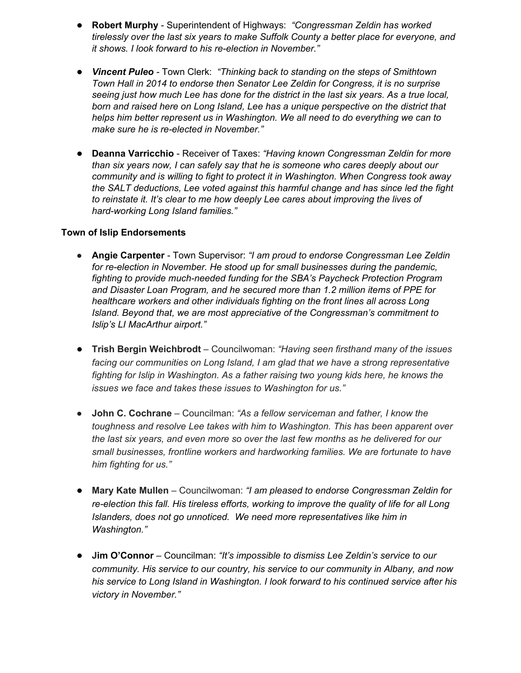- **Robert Murphy** Superintendent of Highways: *"Congressman Zeldin has worked tirelessly over the last six years to make Suffolk County a better place for everyone, and it shows. I look forward to his re-election in November."*
- *Vincent Puleo -* Town Clerk: *"Thinking back to standing on the steps of Smithtown Town Hall in 2014 to endorse then Senator Lee Zeldin for Congress, it is no surprise seeing just how much Lee has done for the district in the last six years. As a true local, born and raised here on Long Island, Lee has a unique perspective on the district that helps him better represent us in Washington. We all need to do everything we can to make sure he is re-elected in November."*
- **Deanna Varricchio** Receiver of Taxes: *"Having known Congressman Zeldin for more than six years now, I can safely say that he is someone who cares deeply about our community and is willing to fight to protect it in Washington. When Congress took away the SALT deductions, Lee voted against this harmful change and has since led the fight to reinstate it. It's clear to me how deeply Lee cares about improving the lives of hard-working Long Island families."*

#### **Town of Islip Endorsements**

- **● Angie Carpenter** Town Supervisor: *"I am proud to endorse Congressman Lee Zeldin for re-election in November. He stood up for small businesses during the pandemic, fighting to provide much-needed funding for the SBA's Paycheck Protection Program and Disaster Loan Program, and he secured more than 1.2 million items of PPE for healthcare workers and other individuals fighting on the front lines all across Long Island. Beyond that, we are most appreciative of the Congressman's commitment to Islip's LI MacArthur airport."*
- **Trish Bergin Weichbrodt** Councilwoman: *"Having seen firsthand many of the issues facing our communities on Long Island, I am glad that we have a strong representative fighting for Islip in Washington. As a father raising two young kids here, he knows the issues we face and takes these issues to Washington for us."*
- *●* **John C. Cochrane** Councilman: *"As a fellow serviceman and father, I know the toughness and resolve Lee takes with him to Washington. This has been apparent over the last six years, and even more so over the last few months as he delivered for our small businesses, frontline workers and hardworking families. We are fortunate to have him fighting for us."*
- **Mary Kate Mullen** Councilwoman: *"I am pleased to endorse Congressman Zeldin for re-election this fall. His tireless efforts, working to improve the quality of life for all Long Islanders, does not go unnoticed. We need more representatives like him in Washington."*
- **Jim O'Connor** Councilman: *"It's impossible to dismiss Lee Zeldin's service to our community. His service to our country, his service to our community in Albany, and now his service to Long Island in Washington. I look forward to his continued service after his victory in November."*